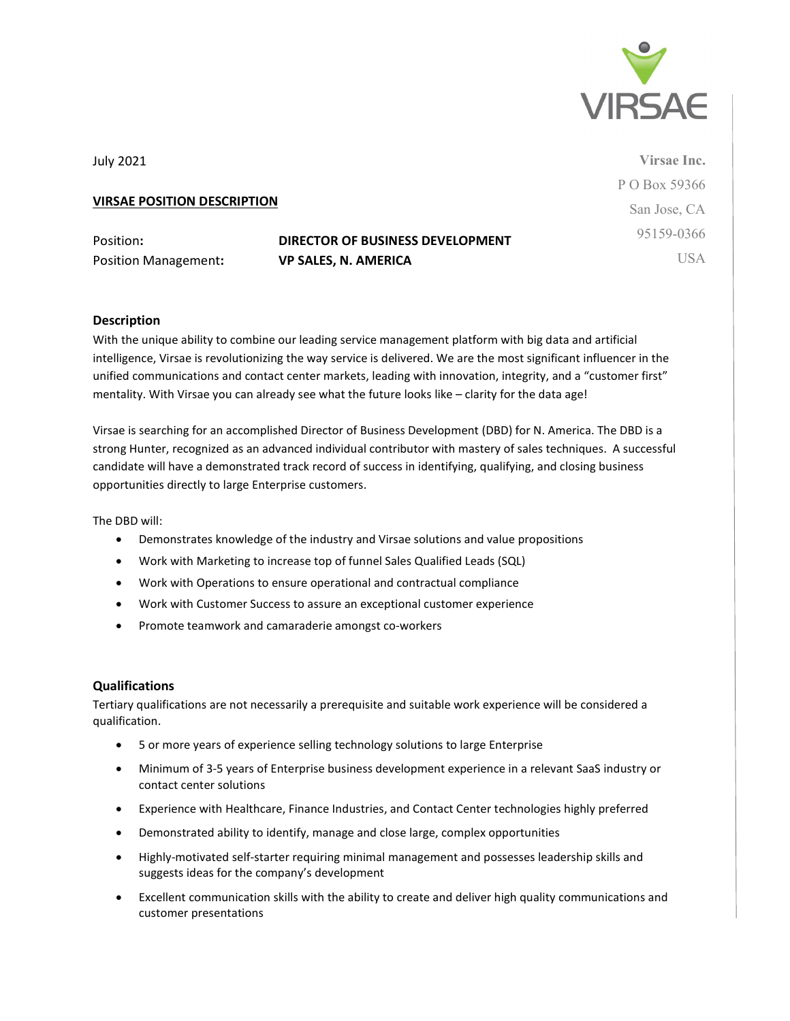

July 2021

# VIRSAE POSITION DESCRIPTION

Position Management: VP SALES, N. AMERICA

# Position: DIRECTOR OF BUSINESS DEVELOPMENT

Virsae Inc. P O Box 59366 San Jose, CA 95159-0366 **USA** 

### Description

With the unique ability to combine our leading service management platform with big data and artificial intelligence, Virsae is revolutionizing the way service is delivered. We are the most significant influencer in the unified communications and contact center markets, leading with innovation, integrity, and a "customer first" mentality. With Virsae you can already see what the future looks like – clarity for the data age!

Virsae is searching for an accomplished Director of Business Development (DBD) for N. America. The DBD is a strong Hunter, recognized as an advanced individual contributor with mastery of sales techniques. A successful candidate will have a demonstrated track record of success in identifying, qualifying, and closing business opportunities directly to large Enterprise customers.

The DBD will:

- Demonstrates knowledge of the industry and Virsae solutions and value propositions
- Work with Marketing to increase top of funnel Sales Qualified Leads (SQL)
- Work with Operations to ensure operational and contractual compliance
- Work with Customer Success to assure an exceptional customer experience
- Promote teamwork and camaraderie amongst co-workers

#### Qualifications

Tertiary qualifications are not necessarily a prerequisite and suitable work experience will be considered a qualification.

- 5 or more years of experience selling technology solutions to large Enterprise
- Minimum of 3-5 years of Enterprise business development experience in a relevant SaaS industry or contact center solutions
- Experience with Healthcare, Finance Industries, and Contact Center technologies highly preferred
- Demonstrated ability to identify, manage and close large, complex opportunities
- Highly-motivated self-starter requiring minimal management and possesses leadership skills and suggests ideas for the company's development
- Excellent communication skills with the ability to create and deliver high quality communications and customer presentations